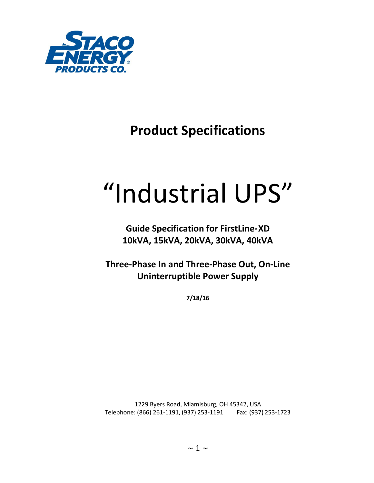

## **Product Specifications**

# "Industrial UPS"

**Guide Specification for FirstLine® XD 10kVA, 15kVA, 20kVA, 30kVA, 40kVA**

**Three-Phase In and Three-Phase Out, On-Line Uninterruptible Power Supply**

**7/18/16**

1229 Byers Road, Miamisburg, OH 45342, USA Telephone: (866) 261-1191, (937) 253-1191 Fax: (937) 253-1723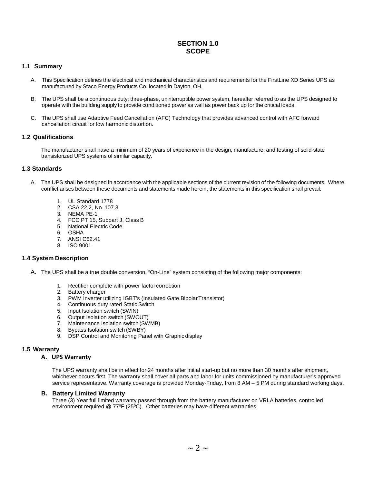#### **SECTION 1.0 SCOPE**

#### **1.1 Summary**

- A. This Specification defines the electrical and mechanical characteristics and requirements for the FirstLine XD Series UPS as manufactured by Staco Energy Products Co. located in Dayton, OH.
- B. The UPS shall be a continuous duty; three-phase, uninterruptible power system, hereafter referred to as the UPS designed to operate with the building supply to provide conditioned power as well as power back up for the critical loads.
- C. The UPS shall use Adaptive Feed Cancellation (AFC) Technology that provides advanced control with AFC forward cancellation circuit for low harmonic distortion.

#### **1.2 Qualifications**

The manufacturer shall have a minimum of 20 years of experience in the design, manufacture, and testing of solid-state transistorized UPS systems of similar capacity.

#### **1.3 Standards**

- A. The UPS shall be designed in accordance with the applicable sections of the current revision of the following documents. Where conflict arises between these documents and statements made herein, the statements in this specification shall prevail.
	- 1. UL Standard 1778
	- 2. CSA 22.2, No. 107.3
	- 3. NEMA PE-1
	- 4. FCC PT 15, Subpart J, Class B
	- 5. National Electric Code
	- 6. OSHA
	- 7. ANSI C62.41
	- 8. ISO 9001

#### **1.4 System Description**

- A. The UPS shall be a true double conversion, "On-Line" system consisting of the following major components:
	- 1. Rectifier complete with power factor correction
	- 2. Battery charger
	- 3. PWM Inverter utilizing IGBT's (Insulated Gate BipolarTransistor)
	- 4. Continuous duty rated Static Switch
	- 5. Input Isolation switch (SWIN)
	- 6. Output Isolation switch (SWOUT)
	- 7. Maintenance Isolation switch (SWMB)
	- 8. Bypass Isolation switch (SWBY)
	- 9. DSP Control and Monitoring Panel with Graphic display

#### **1.5 Warranty**

#### **A. UPS Warranty**

The UPS warranty shall be in effect for 24 months after initial start-up but no more than 30 months after shipment, whichever occurs first. The warranty shall cover all parts and labor for units commissioned by manufacturer's approved service representative. Warranty coverage is provided Monday-Friday, from 8 AM – 5 PM during standard working days.

#### **B. Battery Limited Warranty**

Three (3) Year full limited warranty passed through from the battery manufacturer on VRLA batteries, controlled environment required @ 77°F (25°C). Other batteries may have different warranties.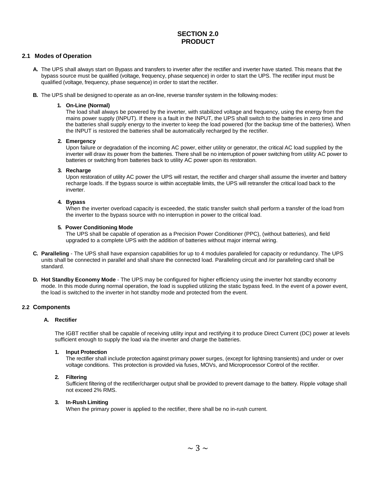#### **SECTION 2.0 PRODUCT**

#### **2.1 Modes of Operation**

- **A.** The UPS shall always start on Bypass and transfers to inverter after the rectifier and inverter have started. This means that the bypass source must be qualified (voltage, frequency, phase sequence) in order to start the UPS. The rectifier input must be qualified (voltage, frequency, phase sequence) in order to start the rectifier.
- **B.** The UPS shall be designed to operate as an on-line, reverse transfer system in the following modes:

#### **1. On-Line (Normal)**

The load shall always be powered by the inverter, with stabilized voltage and frequency, using the energy from the mains power supply (INPUT). If there is a fault in the INPUT, the UPS shall switch to the batteries in zero time and the batteries shall supply energy to the inverter to keep the load powered (for the backup time of the batteries). When the INPUT is restored the batteries shall be automatically recharged by the rectifier.

#### **2. Emergency**

Upon failure or degradation of the incoming AC power, either utility or generator, the critical AC load supplied by the inverter will draw its power from the batteries. There shall be no interruption of power switching from utility AC power to batteries or switching from batteries back to utility AC power upon its restoration.

#### **3. Recharge**

Upon restoration of utility AC power the UPS will restart, the rectifier and charger shall assume the inverter and battery recharge loads. If the bypass source is within acceptable limits, the UPS will retransfer the critical load back to the inverter.

#### **4. Bypass**

When the inverter overload capacity is exceeded, the static transfer switch shall perform a transfer of the load from the inverter to the bypass source with no interruption in power to the critical load.

#### **5. Power Conditioning Mode**

The UPS shall be capable of operation as a Precision Power Conditioner (PPC), (without batteries), and field upgraded to a complete UPS with the addition of batteries without major internal wiring.

- **C. Paralleling**  The UPS shall have expansion capabilities for up to 4 modules paralleled for capacity or redundancy. The UPS units shall be connected in parallel and shall share the connected load. Paralleling circuit and /or paralleling card shall be standard.
- **D. Hot Standby Economy Mode**  The UPS may be configured for higher efficiency using the inverter hot standby economy mode. In this mode during normal operation, the load is supplied utilizing the static bypass feed. In the event of a power event, the load is switched to the inverter in hot standby mode and protected from the event.

#### **2.2 Components**

#### **A. Rectifier**

The IGBT rectifier shall be capable of receiving utility input and rectifying it to produce Direct Current (DC) power at levels sufficient enough to supply the load via the inverter and charge the batteries.

#### **1. Input Protection**

The rectifier shall include protection against primary power surges, (except for lightning transients) and under or over voltage conditions. This protection is provided via fuses, MOVs, and Microprocessor Control of the rectifier.

#### **2. Filtering**

Sufficient filtering of the rectifier/charger output shall be provided to prevent damage to the battery. Ripple voltage shall not exceed 2% RMS.

#### **3. In-Rush Limiting**

When the primary power is applied to the rectifier, there shall be no in-rush current.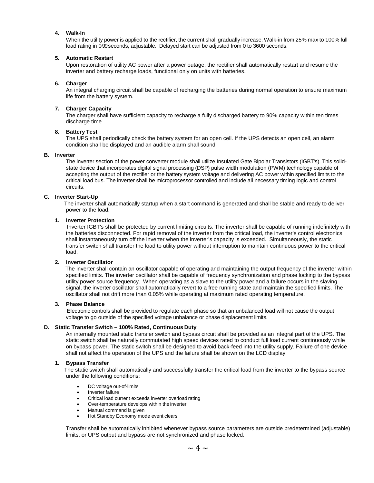#### **4. Walk-In**

When the utility power is applied to the rectifier, the current shall gradually increase. Walk-in from 25% max to 100% full load rating in 0-99 seconds, adjustable. Delayed start can be adjusted from 0 to 3600 seconds.

#### **5. Automatic Restart**

Upon restoration of utility AC power after a power outage, the rectifier shall automatically restart and resume the inverter and battery recharge loads, functional only on units with batteries.

#### **6. Charger**

An integral charging circuit shall be capable of recharging the batteries during normal operation to ensure maximum life from the battery system.

#### **7. Charger Capacity**

The charger shall have sufficient capacity to recharge a fully discharged battery to 90% capacity within ten times discharge time.

#### **8. Battery Test**

The UPS shall periodically check the battery system for an open cell. If the UPS detects an open cell, an alarm condition shall be displayed and an audible alarm shall sound.

#### **B. Inverter**

The inverter section of the power converter module shall utilize Insulated Gate Bipolar Transistors (IGBT's). This solidstate device that incorporates digital signal processing (DSP) pulse width modulation (PWM) technology capable of accepting the output of the rectifier or the battery system voltage and delivering AC power within specified limits to the critical load bus. The inverter shall be microprocessor controlled and include all necessary timing logic and control circuits.

#### **C. Inverter Start-Up**

The inverter shall automatically startup when a start command is generated and shall be stable and ready to deliver power to the load.

#### **1. Inverter Protection**

Inverter IGBT's shall be protected by current limiting circuits. The inverter shall be capable of running indefinitely with the batteries disconnected. For rapid removal of the inverter from the critical load, the inverter's control electronics shall instantaneously turn off the inverter when the inverter's capacity is exceeded. Simultaneously, the static transfer switch shall transfer the load to utility power without interruption to maintain continuous power to the critical load.

#### **2. Inverter Oscillator**

The inverter shall contain an oscillator capable of operating and maintaining the output frequency of the inverter within specified limits. The inverter oscillator shall be capable of frequency synchronization and phase locking to the bypass utility power source frequency. When operating as a slave to the utility power and a failure occurs in the slaving signal, the inverter oscillator shall automatically revert to a free running state and maintain the specified limits. The oscillator shall not drift more than 0.05% while operating at maximum rated operating temperature.

#### **3. Phase Balance**

Electronic controls shall be provided to regulate each phase so that an unbalanced load will not cause the output voltage to go outside of the specified voltage unbalance or phase displacement limits.

#### **D. Static Transfer Switch – 100% Rated, Continuous Duty**

An internally mounted static transfer switch and bypass circuit shall be provided as an integral part of the UPS. The static switch shall be naturally commutated high speed devices rated to conduct full load current continuously while on bypass power. The static switch shall be designed to avoid back-feed into the utility supply. Failure of one device shall not affect the operation of the UPS and the failure shall be shown on the LCD display.

#### **1. Bypass Transfer**

The static switch shall automatically and successfully transfer the critical load from the inverter to the bypass source under the following conditions:

- DC voltage out-of-limits
- Inverter failure
- Critical load current exceeds inverter overload rating
- Over-temperature develops within the inverter
- Manual command is given
- Hot Standby Economy mode event clears

Transfer shall be automatically inhibited whenever bypass source parameters are outside predetermined (adjustable) limits, or UPS output and bypass are not synchronized and phase locked.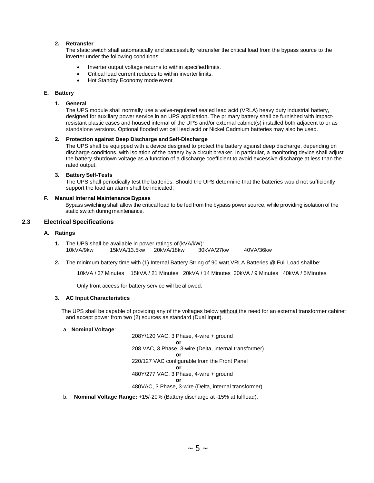#### **2. Retransfer**

The static switch shall automatically and successfully retransfer the critical load from the bypass source to the inverter under the following conditions:

- Inverter output voltage returns to within specified limits.
- Critical load current reduces to within inverterlimits.
- Hot Standby Economy mode event

#### **E. Battery**

#### **1. General**

The UPS module shall normally use a valve-regulated sealed lead acid (VRLA) heavy duty industrial battery, designed for auxiliary power service in an UPS application. The primary battery shall be furnished with impactresistant plastic cases and housed internal of the UPS and/or external cabinet(s) installed both adjacent to or as standalone versions. Optional flooded wet cell lead acid or Nickel Cadmium batteries may also be used.

#### **2. Protection against Deep Discharge andSelf-Discharge**

The UPS shall be equipped with a device designed to protect the battery against deep discharge, depending on discharge conditions, with isolation of the battery by a circuit breaker. In particular, a monitoring device shall adjust the battery shutdown voltage as a function of a discharge coefficient to avoid excessive discharge at less than the rated output.

#### **3. Battery Self-Tests**

The UPS shall periodically test the batteries. Should the UPS determine that the batteries would not sufficiently support the load an alarm shall be indicated.

#### **F. Manual Internal Maintenance Bypass**

Bypass switching shall allow the critical load to be fed from the bypass power source, while providing isolation of the static switch during maintenance.

#### **2.3 Electrical Specifications**

#### **A. Ratings**

- **1.** The UPS shall be available in power ratings of(kVA/kW): 10kVA/9kw 15kVA/13.5kw 20kVA/18kw 30kVA/27kw 40VA/36kw
- **2.** The minimum battery time with (1) Internal Battery String of 90 watt VRLA Batteries @ Full Load shallbe:

10kVA / 37 Minutes 15kVA / 21 Minutes 20kVA / 14 Minutes 30kVA / 9 Minutes 40kVA / 5Minutes

Only front access for battery service will beallowed.

#### **3. AC Input Characteristics**

The UPS shall be capable of providing any of the voltages below without the need for an external transformer cabinet and accept power from two (2) sources as standard (Dual Input).

#### a. **Nominal Voltage**:

208Y/120 VAC, 3 Phase, 4-wire + ground **or** 208 VAC, 3 Phase, 3-wire (Delta, internal transformer) **or** 220/127 VAC configurable from the Front Panel **or** 480Y/277 VAC, 3 Phase, 4-wire + ground **or** 480VAC, 3 Phase, 3-wire (Delta, internal transformer)

b. **Nominal Voltage Range:** +15/-20% (Battery discharge at -15% at fullload).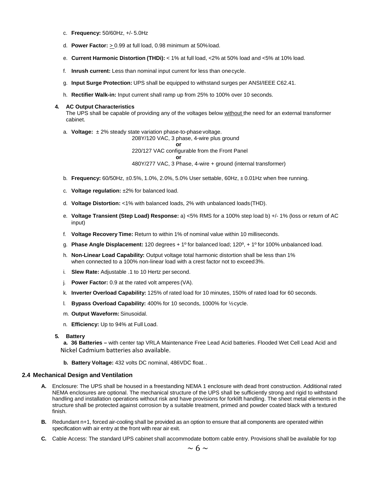- c. **Frequency:** 50/60Hz, +/- 5.0Hz
- d. **Power Factor:** > 0.99 at full load, 0.98 minimum at 50%load.
- e. **Current Harmonic Distortion (THDi):** < 1% at full load, <2% at 50% load and <5% at 10% load.
- f. **Inrush current:** Less than nominal input current for less than onecycle.
- g. **Input Surge Protection:** UPS shall be equipped to withstand surges per ANSI/IEEE C62.41.
- h. **Rectifier Walk-in:** Input current shall ramp up from 25% to 100% over 10 seconds.

#### **4. AC Output Characteristics**

The UPS shall be capable of providing any of the voltages below without the need for an external transformer cabinet.

a. **Voltage:** ± 2% steady state variation phase-to-phasevoltage.

208Y/120 VAC, 3 phase, 4-wire plus ground **or** 220/127 VAC configurable from the Front Panel **or** 480Y/277 VAC, 3 Phase, 4-wire + ground (internal transformer)

- b. **Frequency:** 60/50Hz, ±0.5%, 1.0%, 2.0%, 5.0% User settable, 60Hz, ± 0.01Hz when free running.
- c. **Voltage regulation:** ±2% for balanced load.
- d. **Voltage Distortion:** <1% with balanced loads, 2% with unbalanced loads(THD).
- e. **Voltage Transient (Step Load) Response:** a) <5% RMS for a 100% step load b) +/- 1% (loss or return of AC input)
- f. **Voltage Recovery Time:** Return to within 1% of nominal value within 10 milliseconds.
- g. **Phase Angle Displacement:** 120 degrees + 1º for balanced load; 120º, + 1º for 100% unbalanced load.
- h. **Non-Linear Load Capability:** Output voltage total harmonic distortion shall be less than 1% when connected to a 100% non-linear load with a crest factor not to exceed3%.
- i. **Slew Rate:** Adjustable .1 to 10 Hertz per second.
- j. **Power Factor:** 0.9 at the rated volt amperes (VA).
- k. **Inverter Overload Capability:** 125% of rated load for 10 minutes, 150% of rated load for 60 seconds.
- l. **Bypass Overload Capability:** 400% for 10 seconds, 1000% for ½cycle.
- m. **Output Waveform:** Sinusoidal.
- n. **Efficiency:** Up to 94% at Full Load.

#### **5. Battery**

**a. 36 Batteries –** with center tap VRLA Maintenance Free Lead Acid batteries. Flooded Wet Cell Lead Acid and Nickel Cadmium batteries also available.

**b. Battery Voltage:** 432 volts DC nominal, 486VDC float. .

#### **2.4 Mechanical Design and Ventilation**

- **A.** Enclosure: The UPS shall be housed in a freestanding NEMA 1 enclosure with dead front construction. Additional rated NEMA enclosures are optional. The mechanical structure of the UPS shall be sufficiently strong and rigid to withstand handling and installation operations without risk and have provisions for forklift handling. The sheet metal elements in the structure shall be protected against corrosion by a suitable treatment, primed and powder coated black with a textured finish.
- **B.** Redundant n+1, forced air-cooling shall be provided as an option to ensure that all components are operated within specification with air entry at the front with rear air exit.
- **C.** Cable Access: The standard UPS cabinet shall accommodate bottom cable entry. Provisions shall be available for top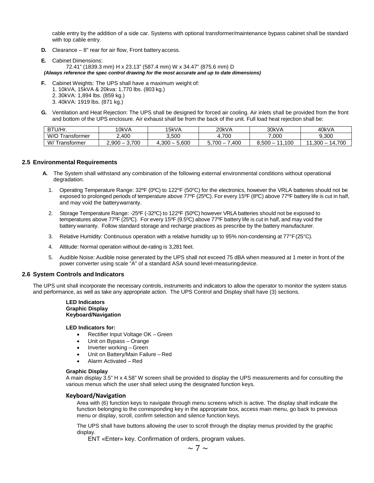cable entry by the addition of a side car. Systems with optional transformer/maintenance bypass cabinet shall be standard with top cable entry.

- **D.** Clearance 8" rear for air flow, Front battery access.
- **E.** Cabinet Dimensions: 72.41" (1839.3 mm) H x 23.13" (587.4 mm) W x 34.47" (875.6 mm) D *(Always reference the spec control drawing for the most accurate and up to date dimensions)*
- **F.** Cabinet Weights: The UPS shall have a maximum weight of:
	- 1. 10kVA, 15kVA & 20kva: 1,770 lbs. (803 kg.)
	- 2. 30kVA: 1,894 lbs. (859 kg.)
	- 3. 40kVA: 1919 lbs. (871 kg.)
- **G.** Ventilation and Heat Rejection: The UPS shall be designed for forced air cooling. Air inlets shall be provided from the front and bottom of the UPS enclosure. Air exhaust shall be from the back of the unit. Full load heat rejection shall be:

| BTU/Hr.             | '0kVA                                     | 15kVA                                   | 20kVA           | 30kVA            | 40kVA                     |
|---------------------|-------------------------------------------|-----------------------------------------|-----------------|------------------|---------------------------|
| W/O<br>ransformer   | 400                                       | 3.500                                   | 700             | 7,000            | 9.300                     |
| W/T<br>l ranstormer | .700<br>2.900<br>$\overline{\phantom{a}}$ | .600<br>ാററ<br>$\overline{\phantom{a}}$ | .400<br>$700 -$ | 100<br>$3.500 -$ | 1.700<br>.300<br>44<br>14 |

#### **2.5 Environmental Requirements**

- **A.** The System shall withstand any combination of the following external environmental conditions without operational degradation.
	- 1. Operating Temperature Range: 32°F (0°C) to 122°F (50°C) for the electronics, however the VRLA batteries should not be exposed to prolonged periods of temperature above 77ºF (25ºC). For every 15ºF (8ºC) above 77ºF battery life is cut in half, and may void the batterywarranty.
	- 2. Storage Temperature Range: -25ºF (-32ºC) to 122ºF (50ºC) however VRLA batteries should not be exposed to temperatures above 77ºF (25ºC). For every 15ºF (9.5ºC) above 77ºF battery life is cut in half, and may void the battery warranty. Follow standard storage and recharge practices as prescribe by the battery manufacturer.
	- 3. Relative Humidity: Continuous operation with a relative humidity up to 95% non-condensing at 77°F(25°C).
	- 4. Altitude: Normal operation without de-rating is 3,281 feet.
	- 5. Audible Noise: Audible noise generated by the UPS shall not exceed 75 dBA when measured at 1 meter in front of the power converter using scale "A" of a standard ASA sound level-measuringdevice.

#### **2.6 System Controls and Indicators**

The UPS unit shall incorporate the necessary controls, instruments and indicators to allow the operator to monitor the system status and performance, as well as take any appropriate action. The UPS Control and Display shall have (3) sections.

#### **LED Indicators Graphic Display Keyboard/Navigation**

#### **LED Indicators for:**

- Rectifier Input Voltage OK Green
- Unit on Bypass Orange
- Inverter working Green
- Unit on Battery/Main Failure Red
- Alarm Activated Red

#### **Graphic Display**

A main display 3.5" H x 4.58" W screen shall be provided to display the UPS measurements and for consulting the various menus which the user shall select using the designated function keys.

#### **Keyboard/Navigation**

Area with (6) function keys to navigate through menu screens which is active. The display shall indicate the function belonging to the corresponding key in the appropriate box, access main menu, go back to previous menu or display, scroll, confirm selection and silence function keys.

The UPS shall have buttons allowing the user to scroll through the display menus provided by the graphic display.

ENT «Enter» key. Confirmation of orders, program values.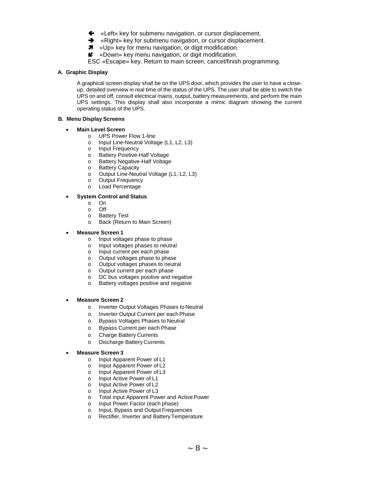- «Left» key for submenu navigation, or cursor displacement.
- **→** «Right» key for submenu navigation, or cursor displacement.
- $\pi$  «Up» key for menu navigation, or digit modification.
- «Down» key menu navigation, or digit modification.
- ESC «Escape» key. Return to main screen, cancel/finish programming.

#### **A. Graphic Display**

A graphical screen display shall be on the UPS door, which provides the user to have a closeup, detailed overview in real time of the status of the UPS. The user shall be able to switch the UPS on and off, consult electrical mains, output, battery measurements, and perform the main UPS settings. This display shall also incorporate a mimic diagram showing the current operating status of the UPS.

#### **B. Menu Display Screens**

#### • **Main Level Screen**

- o UPS Power Flow 1-line
- o Input Line-Neutral Voltage (L1, L2, L3)
- o Input Frequency<br>
o Battery Positive-I
- o Battery Positive-Half Voltage
- o Battery Negative-Half Voltage<br>
o Battery Capacity
- o Battery Capacity<br>
o Output Line-Neut
- o Output Line-Neutral Voltage (L1, L2, L3)
- o Output Frequency<br>o Load Percentage
- Load Percentage

#### • **System Control and Status**

- o On
- 
- o Off o Battery Test<br>o Back (Return
- Back (Return to Main Screen)

#### • **Measure Screen 1**

- o Input voltages phase to phase
- o Input voltages phases to neutral
- o Input current per each phase
- o Output voltages phase to phase
- o Output voltages phases to neutral
- o Output current per each phase<br>
o DC bus voltages positive and n
- o DC bus voltages positive and negative<br>
o Battery voltages positive and negative
- Battery voltages positive and negative

#### • **Measure Screen 2**

- o Inverter Output Voltages Phases to Neutral
- o Inverter Output Current per each Phase
- o Bypass Voltages Phases to Neutral<br>o Bypass Current per each Phase
- o Bypass Current per each Phase<br>
o Charge Battery Currents
- **Charge Battery Currents**
- o Discharge Battery Currents
- **Measure Screen 3**
	- o Input Apparent Power of L1
	- o Input Apparent Power of L2<br>o Input Apparent Power of L3
	- o Input Apparent Power of L3<br>o Input Active Power of L1
	- o Input Active Power of L1<br>o Input Active Power of L2
	- o Input Active Power of L2<br>o Input Active Power of L3
	- Input Active Power of L3
	- o Total input Apparent Power and ActivePower
	- o Input Power Factor (each phase)
	- o Input, Bypass and Output Frequencies
	- o Rectifier, Inverter and Battery Temperature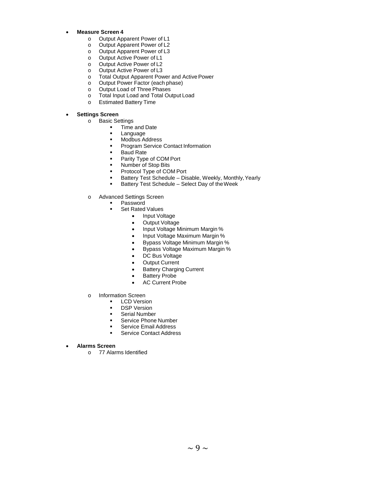- **Measure Screen 4**
	- o Output Apparent Power of L1
	- o Output Apparent Power of L2
	- o Output Apparent Power of L3
	- o Output Active Power of L1
	- o Output Active Power of L2
	- o Output Active Power of L3<br>
	o Total Output Apparent Pov
	- o Total Output Apparent Power and Active Power<br>
	o Output Power Factor (each phase)
	- o Output Power Factor (each phase)<br>
	o Output Load of Three Phases
	- o Output Load of Three Phases<br>
	o Total Input Load and Total Ou
	- Total Input Load and Total Output Load
	- o Estimated Battery Time

#### • **Settings Screen**

- o Basic Settings
	- Time and Date
	- **Language**<br>Modbus A
	- Modbus Address<br>■ Program Service
	- Program Service Contact Information
	- **Baud Rate**
	- Parity Type of COM Port
	- Number of Stop Bits
	- Protocol Type of COM Port
	- Battery Test Schedule Disable, Weekly, Monthly, Yearly<br>Battery Test Schedule Select Day of the Week
	- Battery Test Schedule Select Day of theWeek
- o Advanced Settings Screen
	- Password
		- Set Rated Values
			- Input Voltage
			- Output Voltage
			- Input Voltage Minimum Margin %
			- Input Voltage Maximum Margin %
			- Bypass Voltage Minimum Margin %
			- Bypass Voltage Maximum Margin %
			- DC Bus Voltage
			- **Output Current**
			- Battery Charging Current
			- Battery Probe
			- AC Current Probe
- o Information Screen
	- **LCD Version**
	- DSP Version
	- **Serial Number**
	- Service Phone Number
	- Service Email Address
	- Service Contact Address
- **Alarms Screen**
	- o 77 Alarms Identified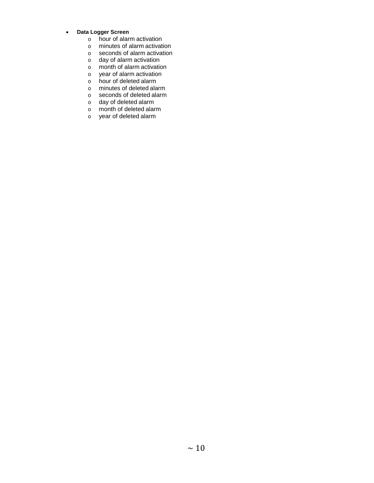#### • **Data Logger Screen**

- o hour of alarm activation<br>o minutes of alarm activation
- o minutes of alarm activation<br>
o seconds of alarm activation
- seconds of alarm activation
- 
- o day of alarm activation<br>
o month of alarm activation o month of alarm activation<br>o year of alarm activation
- o year of alarm activation<br>
o hour of deleted alarm
- hour of deleted alarm
- o minutes of deleted alarm
- o seconds of deleted alarm
- o day of deleted alarm
- o month of deleted alarm
- o year of deleted alarm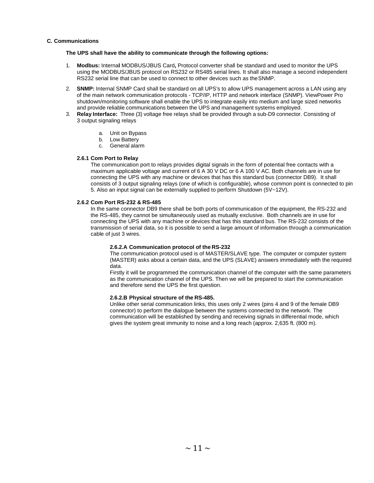#### **C. Communications**

#### **The UPS shall have the ability to communicate through the following options:**

- 1. **Modbus:** Interna**l** MODBUS/JBUS Card**,** Protocol converter shall be standard and used to monitor the UPS using the MODBUS/JBUS protocol on RS232 or RS485 serial lines. It shall also manage a second independent RS232 serial line that can be used to connect to other devices such as theSNMP.
- 2. **SNMP:** Internal SNMP Card shall be standard on all UPS's to allow UPS management across a LAN using any of the main network communication protocols - TCP/IP, HTTP and network interface (SNMP). ViewPower Pro shutdown/monitoring software shall enable the UPS to integrate easily into medium and large sized networks and provide reliable communications between the UPS and management systems employed.
- 3. **Relay Interface:** Three (3) voltage free relays shall be provided through a sub-D9 connector. Consisting of 3 output signaling relays
	- a. Unit on Bypass
	- b. Low Battery
	- c. General alarm

#### **2.6.1 Com Port to Relay**

The communication port to relays provides digital signals in the form of potential free contacts with a maximum applicable voltage and current of 6 A 30 V DC or 6 A 100 V AC. Both channels are in use for connecting the UPS with any machine or devices that has this standard bus (connector DB9). It shall consists of 3 output signaling relays (one of which is configurable), whose common point is connected to pin 5. Also an input signal can be externally supplied to perform Shutdown (5V~12V).

#### **2.6.2 Com Port RS-232 & RS-485**

In the same connector DB9 there shall be both ports of communication of the equipment, the RS-232 and the RS-485, they cannot be simultaneously used as mutually exclusive. Both channels are in use for connecting the UPS with any machine or devices that has this standard bus. The RS-232 consists of the transmission of serial data, so it is possible to send a large amount of information through a communication cable of just 3 wires.

#### **2.6.2.A Communication protocol of the RS-232**

The communication protocol used is of MASTER/SLAVE type. The computer or computer system (MASTER) asks about a certain data, and the UPS (SLAVE) answers immediately with the required data.

Firstly it will be programmed the communication channel of the computer with the same parameters as the communication channel of the UPS. Then we will be prepared to start the communication and therefore send the UPS the first question.

#### **2.6.2.B Physical structure of the RS-485.**

Unlike other serial communication links, this uses only 2 wires (pins 4 and 9 of the female DB9 connector) to perform the dialogue between the systems connected to the network. The communication will be established by sending and receiving signals in differential mode, which gives the system great immunity to noise and a long reach (approx. 2,635 ft. (800 m).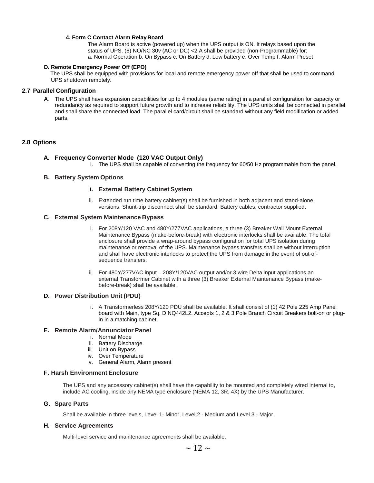#### **4. Form C Contact Alarm Relay Board**

The Alarm Board is active (powered up) when the UPS output is ON. It relays based upon the status of UPS. (6) NO/NC 30v (AC or DC) <2 A shall be provided (non-Programmable) for: a. Normal Operation b. On Bypass c. On Battery d. Low battery e. Over Temp f. Alarm Preset

#### **D. Remote Emergency Power Off (EPO)**

The UPS shall be equipped with provisions for local and remote emergency power off that shall be used to command UPS shutdown remotely.

#### **2.7 Parallel Configuration**

**A.** The UPS shall have expansion capabilities for up to 4 modules (same rating) in a parallel configuration for capacity or redundancy as required to support future growth and to increase reliability. The UPS units shall be connected in parallel and shall share the connected load. The parallel card/circuit shall be standard without any field modification or added parts.

#### **2.8 Options**

#### **A. Frequency Converter Mode (120 VAC Output Only)**

i. The UPS shall be capable of converting the frequency for 60/50 Hz programmable from the panel.

#### **B. Battery System Options**

#### **i. External Battery Cabinet System**

ii. Extended run time battery cabinet(s) shall be furnished in both adjacent and stand-alone versions. Shunt-trip disconnect shall be standard. Battery cables, contractor supplied.

#### **C. External System Maintenance Bypass**

- i. For 208Y/120 VAC and 480Y/277VAC applications, a three (3) Breaker Wall Mount External Maintenance Bypass (make-before-break) with electronic interlocks shall be available. The total enclosure shall provide a wrap-around bypass configuration for total UPS isolation during maintenance or removal of the UPS. Maintenance bypass transfers shall be without interruption and shall have electronic interlocks to protect the UPS from damage in the event of out-ofsequence transfers.
- ii. For 480Y/277VAC input 208Y/120VAC output and/or 3 wire Delta input applications an external Transformer Cabinet with a three (3) Breaker External Maintenance Bypass (makebefore-break) shall be available.

#### **D. Power Distribution Unit (PDU)**

i. A Transformerless 208Y/120 PDU shall be available. It shall consist of (1) 42 Pole 225 Amp Panel board with Main, type Sq. D NQ442L2. Accepts 1, 2 & 3 Pole Branch Circuit Breakers bolt-on or plugin in a matching cabinet.

#### **E. Remote Alarm/Annunciator Panel**

- i. Normal Mode
- ii. Battery Discharge
- iii. Unit on Bypass
- iv. Over Temperature
- v. General Alarm, Alarm present

#### **F. Harsh Environment Enclosure**

The UPS and any accessory cabinet(s) shall have the capability to be mounted and completely wired internal to, include AC cooling, inside any NEMA type enclosure (NEMA 12, 3R, 4X) by the UPS Manufacturer.

#### **G. Spare Parts**

Shall be available in three levels, Level 1- Minor, Level 2 - Medium and Level 3 - Major.

#### **H. Service Agreements**

Multi-level service and maintenance agreements shall be available.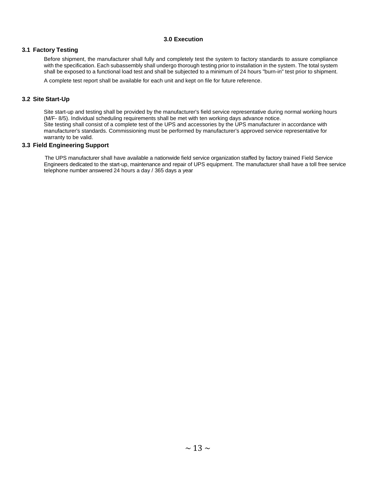#### **3.0 Execution**

#### **3.1 Factory Testing**

Before shipment, the manufacturer shall fully and completely test the system to factory standards to assure compliance with the specification. Each subassembly shall undergo thorough testing prior to installation in the system. The total system shall be exposed to a functional load test and shall be subjected to a minimum of 24 hours "burn-in" test prior to shipment.

A complete test report shall be available for each unit and kept on file for future reference.

#### **3.2 Site Start-Up**

Site start-up and testing shall be provided by the manufacturer's field service representative during normal working hours (M/F- 8/5). Individual scheduling requirements shall be met with ten working days advance notice. Site testing shall consist of a complete test of the UPS and accessories by the UPS manufacturer in accordance with manufacturer's standards. Commissioning must be performed by manufacturer's approved service representative for warranty to be valid.

#### **3.3 Field Engineering Support**

The UPS manufacturer shall have available a nationwide field service organization staffed by factory trained Field Service Engineers dedicated to the start-up, maintenance and repair of UPS equipment. The manufacturer shall have a toll free service telephone number answered 24 hours a day / 365 days a year